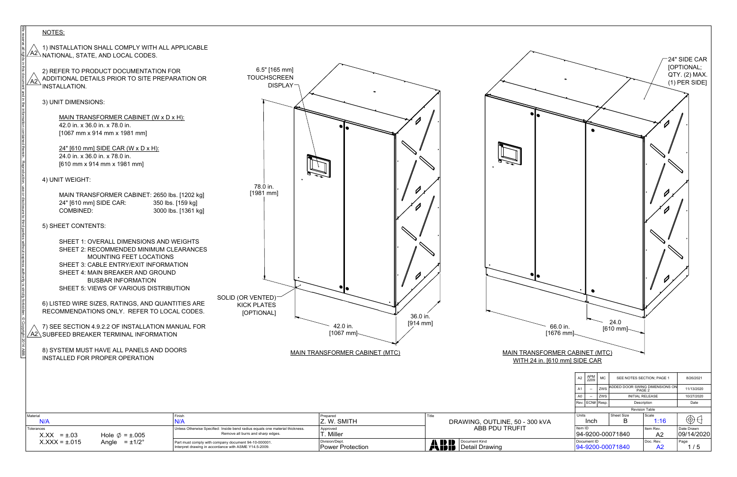

| Tolerances<br>Hole $\emptyset$ = ±.005<br>$X.XX = \pm .03$                                                                                                                           | Unless Otherwise Specified: Inside bend radius equals one material thickness. | Remove all burrs and sharp edges.                 | Approved<br>T. Miller                 |       | ABB PDU TRUFIT                                                         | Item ID<br>94-9200-000                                                                                                                |
|--------------------------------------------------------------------------------------------------------------------------------------------------------------------------------------|-------------------------------------------------------------------------------|---------------------------------------------------|---------------------------------------|-------|------------------------------------------------------------------------|---------------------------------------------------------------------------------------------------------------------------------------|
| Material<br>N/A                                                                                                                                                                      | Finish<br>N/A                                                                 |                                                   | Prepared<br>Z. W. SMITH               | Title | DRAWING, OUTLINE, 50 - 300 KVA                                         | Units<br>Inch                                                                                                                         |
|                                                                                                                                                                                      |                                                                               |                                                   |                                       |       |                                                                        | $\begin{array}{c c} \text{APM} \\ \text{2209} \end{array}$ MC<br>A2<br><b>ZWS</b><br>A1<br>$\sim$<br>$-$ ZWS<br>A0<br>Rev. ECN# Resp. |
| 2014 ABB.<br>8) SYSTEM MUST HAVE ALL PANELS AND DOORS<br>INSTALLED FOR PROPER OPERATION                                                                                              |                                                                               |                                                   | <b>MAIN TRANSFORMER CABINET (MTC)</b> |       | <b>MAIN TRANSFORMER CABINET (MTC)</b><br>WITH 24 in. [610 mm] SIDE CAR |                                                                                                                                       |
| $\overline{\text{A2}}$ SUBFEED BREAKER TERMINAL INFORMATION                                                                                                                          |                                                                               |                                                   | $[1067$ mm]                           |       | $[1676$ mm]                                                            | [61]                                                                                                                                  |
| ly forbidden.<br>6) LISTED WIRE SIZES, RATINGS, AND QUANTITIES ARE<br>RECOMMENDATIONS ONLY. REFER TO LOCAL CODES.<br>⊙ Copyrigh<br>7) SEE SECTION 4.9.2.2 OF INSTALLATION MANUAL FOR |                                                                               | <b>KICK PLATES</b><br>[OPTIONAL]                  | 36.0 in.<br>$[914$ mm]<br>42.0 in.    |       | 66.0 in.                                                               |                                                                                                                                       |
| SHEET 5: VIEWS OF VARIOUS DISTRIBUTION                                                                                                                                               |                                                                               | SOLID (OR VENTED) $\sim$                          |                                       |       |                                                                        |                                                                                                                                       |
| SHEET 4: MAIN BREAKER AND GROUND<br><b>BUSBAR INFORMATION</b>                                                                                                                        |                                                                               |                                                   |                                       |       |                                                                        |                                                                                                                                       |
| SHEET 2: RECOMMENDED MINIMUM CLEARANCES<br>MOUNTING FEET LOCATIONS<br>SHEET 3: CABLE ENTRY/EXIT INFORMATION                                                                          |                                                                               |                                                   |                                       |       |                                                                        |                                                                                                                                       |
| third parties<br>SHEET 1: OVERALL DIMENSIONS AND WEIGHTS                                                                                                                             |                                                                               |                                                   |                                       |       |                                                                        |                                                                                                                                       |
| <b>COMBINED:</b><br>5) SHEET CONTENTS:                                                                                                                                               | 3000 lbs. [1361 kg]                                                           |                                                   |                                       |       |                                                                        |                                                                                                                                       |
| MAIN TRANSFORMER CABINET: 2650 lbs. [1202 kg]<br>24" [610 mm] SIDE CAR:                                                                                                              | 350 lbs. [159 kg]                                                             | $[1981$ mm]                                       |                                       |       |                                                                        |                                                                                                                                       |
| 4) UNIT WEIGHT:                                                                                                                                                                      |                                                                               | 78.0 in.                                          |                                       |       |                                                                        |                                                                                                                                       |
| 24.0 in. x 36.0 in. x 78.0 in.<br>[610 mm x 914 mm x 1981 mm]                                                                                                                        |                                                                               |                                                   |                                       |       |                                                                        |                                                                                                                                       |
| [1067 mm x 914 mm x 1981 mm]<br>24" [610 mm] SIDE CAR (W x D x H):                                                                                                                   |                                                                               |                                                   |                                       |       |                                                                        |                                                                                                                                       |
| MAIN TRANSFORMER CABINET (W x D x H):<br>42.0 in. x 36.0 in. x 78.0 in.                                                                                                              |                                                                               |                                                   |                                       |       |                                                                        |                                                                                                                                       |
| nt and in the informa<br>3) UNIT DIMENSIONS:                                                                                                                                         |                                                                               |                                                   |                                       |       |                                                                        |                                                                                                                                       |
| 2) REFER TO PRODUCT DOCUMENTATION FOR<br>ADDITIONAL DETAILS PRIOR TO SITE PREPARATION OR<br><b>INSTALLATION.</b>                                                                     |                                                                               | 6.5" [165 mm]<br><b>TOUCHSCREEN</b><br>$DISPLAY-$ |                                       |       |                                                                        |                                                                                                                                       |
| $\angle$ A2 $\angle$ NATIONAL, STATE, AND LOCAL CODES.<br>is in this do                                                                                                              |                                                                               |                                                   |                                       |       |                                                                        |                                                                                                                                       |
| We reserve all rig<br>1) INSTALLATION SHALL COMPLY WITH ALL APPLICABLE                                                                                                               |                                                                               |                                                   |                                       |       |                                                                        |                                                                                                                                       |
| NOTES:                                                                                                                                                                               |                                                                               |                                                   |                                       |       |                                                                        |                                                                                                                                       |

 $X$ . $XX = \pm .015$  Angle  $= \pm 1/2^{\circ}$  Part must comply with company document 94-10-000001.

Angle =  $\pm 1/2^{\circ}$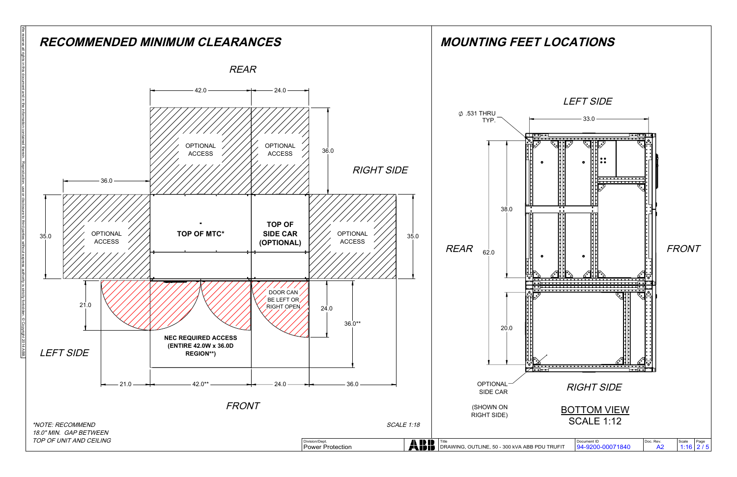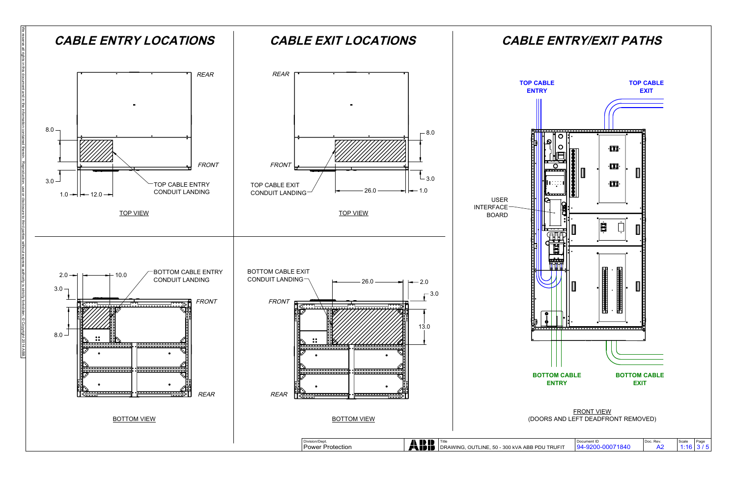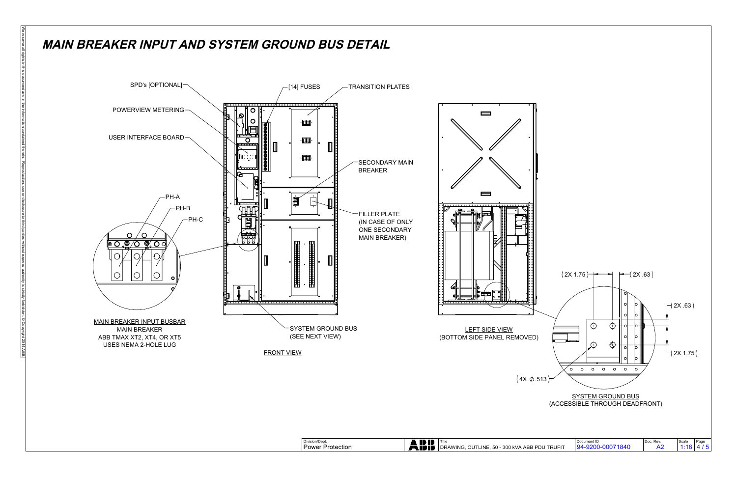

 $(4X \varphi.513)$ 



## **MAIN BREAKER INPUT AND SYSTEM GROUND BUS DETAIL**

We reserve all rights in this document and in the in the indication reserved the information calso without express authority is strictly for third parties without express authority is strictly forbidden. © Copyright 2014 A

Division/Dept. Document ID Doc. Rev. Page Title Power Protection DRAWING, OUTLINE, 50 - 300 kVA ABB PDU TRUFIT